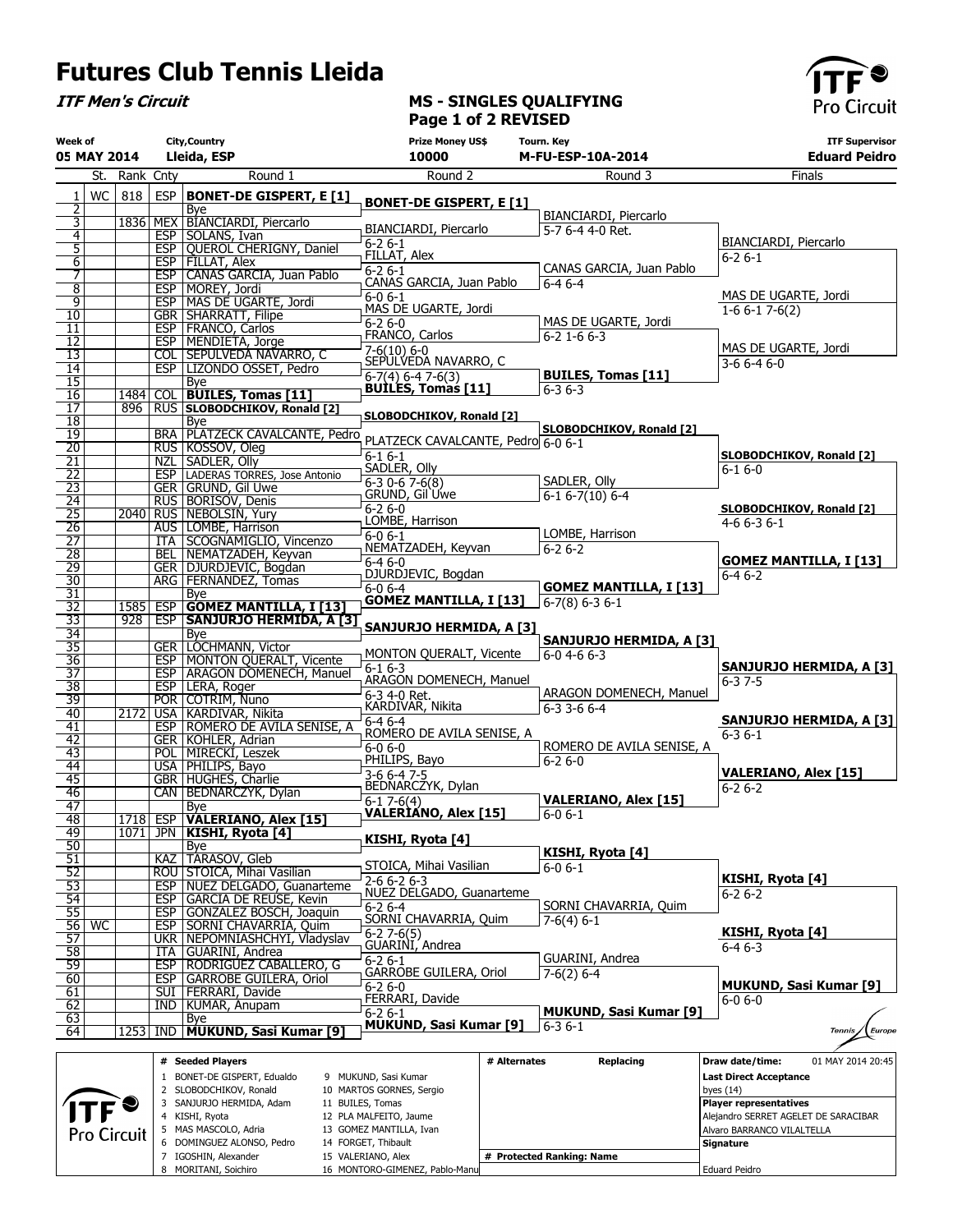## Futures Club Tennis Lleida

5 MAS MASCOLO, Adria 6 DOMINGUEZ ALONSO, Pedro 7 IGOSHIN, Alexander 8 MORITANI, Soichiro

14 FORGET, Thibault 15 VALERIANO, Alex

16 MONTORO-GIMENEZ, Pablo-Manu

# Protected Ranking: Name

**Signature** Eduard Peidro

ITF Men's Circuit

## MS - SINGLES QUALIFYING Page 1 of 2 REVISED



| Week of                            | 05 MAY 2014 | City, Country<br>Lleida, ESP |            |                                                                       | <b>Prize Money US\$</b><br>10000                 |              | <b>Tourn. Key</b><br><b>M-FU-ESP-10A-2014</b>    | <b>ITF Supervisor</b><br><b>Eduard Peidro</b> |
|------------------------------------|-------------|------------------------------|------------|-----------------------------------------------------------------------|--------------------------------------------------|--------------|--------------------------------------------------|-----------------------------------------------|
|                                    | St.         | Rank Cnty                    |            | Round 1                                                               | Round 2                                          |              | Round 3                                          | Finals                                        |
| 1                                  | WC          | 818                          | <b>ESP</b> | <b>BONET-DE GISPERT, E [1]</b>                                        |                                                  |              |                                                  |                                               |
| 2                                  |             |                              |            | Bye                                                                   | <b>BONET-DE GISPERT, E [1]</b>                   |              | BIANCIARDI, Piercarlo                            |                                               |
| 3<br>$\overline{4}$                |             |                              |            | 1836 MEX BÍANCIARDI, Piercarlo<br>ESP SOLANS, Ivan                    | BIANCIARDI, Piercarlo                            |              | 5-7 6-4 4-0 Ret.                                 |                                               |
| $\overline{5}$                     |             |                              |            | ESP   QUEROL CHERIGNY, Daniel                                         | $6 - 26 - 1$                                     |              |                                                  | BIANCIARDI, Piercarlo                         |
| 6                                  |             |                              |            | ESP   FILLAT, Alex                                                    | FILLAT, Alex<br>$6-26-1$                         |              | CANAS GARCIA, Juan Pablo                         | $6 - 26 - 1$                                  |
| 7<br>$\overline{8}$                |             |                              |            | ESP   CANAS GARCIA, Juan Pablo<br>ESP   MOREY, Jordi                  | CANAS GARCIA, Juan Pablo                         |              | $6-46-4$                                         |                                               |
| 9                                  |             |                              |            | <b>ESP   MAS DE UGARTE, Jordi</b>                                     | $6 - 06 - 1$<br>MAS DE UGARTE, Jordi             |              |                                                  | MAS DE UGARTE, Jordi                          |
| 10                                 |             |                              |            | <b>GBR   SHARRATT, Filipe</b>                                         | $6 - 26 - 0$                                     |              | MAS DE UGARTE, Jordi                             | $1-66-17-6(2)$                                |
| $\overline{11}$<br>$\overline{12}$ |             |                              |            | <b>ESP   FRANCO, Carlos</b><br>ESP   MENDIETA, Jorge                  | FRANCO, Carlos                                   |              | $6 - 2$ 1 - 6 $6 - 3$                            |                                               |
| 13                                 |             |                              | COL        | <b>SEPULVEDA NAVARRO, C</b>                                           | $7-6(10)$ 6-0<br>SEPULVEDA NAVARRO, C            |              |                                                  | MAS DE UGARTE, Jordi                          |
| $\overline{14}$                    |             |                              |            | ESP LIZONDO OSSET, Pedro                                              | $6-7(4)$ 6-4 7-6(3)                              |              | <b>BUILES, Tomas [11]</b>                        | $3-66-46-0$                                   |
| 15<br>16                           |             |                              |            | <b>Bye</b><br>1484 COL BUILES, Tomas [11]                             | <b>BUILES, Tomas [11]</b>                        |              | $6 - 36 - 3$                                     |                                               |
| $\overline{17}$                    |             | 896                          |            | RUS SLOBODCHIKOV, Ronald [2]                                          |                                                  |              |                                                  |                                               |
| $\overline{18}$                    |             |                              |            | <b>Bye</b>                                                            | <b>SLOBODCHIKOV, Ronald [2]</b>                  |              | SLOBODCHIKOV, Ronald [2]                         |                                               |
| 19<br>20                           |             |                              |            | BRA PLATZECK CAVALCANTE, Pedro<br>RUS KOSSOV, Oleg                    | PLATZECK CAVALCANTE, Pedro 6-0 6-1               |              |                                                  |                                               |
| $\overline{21}$                    |             |                              |            | NZL SADLER, Olly                                                      | $6 - 16 - 1$                                     |              |                                                  | <b>SLOBODCHIKOV, Ronald [2]</b>               |
| $\overline{22}$                    |             |                              |            | <b>ESP</b>   LADERAS TORRES, Jose Antonio                             | SADLER, Olly<br>$6-3$ 0-6 7-6(8)                 |              | SADLER, Olly                                     | $6 - 16 - 0$                                  |
| $\overline{23}$<br>$\overline{24}$ |             |                              |            | <b>GER GRUND, Gil Uwe</b><br>RUS BORISOV, Denis                       | GRUND, Gil'Uwe                                   |              | $6-1$ $6-7(10)$ $6-4$                            |                                               |
| $\overline{25}$                    |             | 2040                         |            | RUS NEBOLSIN, Yury                                                    | $6 - 26 - 0$                                     |              |                                                  | <b>SLOBODCHIKOV, Ronald [2]</b>               |
| $\overline{26}$                    |             |                              |            | AUS LOMBE, Harrison                                                   | LOMBE, Harrison<br>$6 - 06 - 1$                  |              | LOMBE, Harrison                                  | $4-66-36-1$                                   |
| $\overline{27}$                    |             |                              |            | ITA   SCOGNAMIGLIO, Vincenzo                                          | NEMATZADEH, Keyvan                               |              | $6 - 26 - 2$                                     |                                               |
| $\overline{28}$<br>$\overline{29}$ |             |                              |            | BEL   NEMATZADEH, Keyvan<br>GER DJURDJEVIC, Bogdan                    | $6 - 46 - 0$                                     |              |                                                  | <b>GOMEZ MANTILLA, I [13]</b>                 |
| $\overline{30}$                    |             |                              |            | ARG   FERNANDEZ, Tomas                                                | DJURDJEVIC, Bogdan<br>$6-0$ $6-4$                |              | <b>GOMEZ MANTILLA, I [13]</b>                    | $6 - 46 - 2$                                  |
| $\overline{31}$                    |             |                              |            | Bye                                                                   | <b>GOMEZ MANTILLA, I [13]</b>                    |              | $6-7(8) 6-3 6-1$                                 |                                               |
| 32<br>$\overline{33}$              |             | 1585 ESP<br>928              |            | <b>GOMEZ MANTILLA, I [13]</b><br>ESP SANJURJO HERMIDA, A [3]          |                                                  |              |                                                  |                                               |
| 34                                 |             |                              |            | Bye                                                                   | SANJURJO HERMIDA, A [3]                          |              | SANJURJO HERMIDA, A [3]                          |                                               |
| $\overline{35}$                    |             |                              |            | <b>GER   LOCHMANN, Victor</b>                                         | MONTON QUERALT, Vicente                          |              | 6-0 4-6 6-3                                      |                                               |
| $\overline{36}$<br>$\overline{37}$ |             |                              |            | <b>ESP   MONTON QUERALT, Vicente</b><br>ESP   ARAGON DOMENECH, Manuel | $6-16-3$                                         |              |                                                  | SANJURJO HERMIDA, A [3]                       |
| $\overline{38}$                    |             |                              |            | ESP   LERA, Roger                                                     | ARAGON DOMENECH, Manuel                          |              |                                                  | $6 - 37 - 5$                                  |
| 39                                 |             |                              |            | POR COTRIM, Nuno                                                      | $6-3$ 4-0 Ret.<br>KARDIVAR, Nikita               |              | ARAGON DOMENECH, Manuel<br>$6 - 3$ 3 - 6 $6 - 4$ |                                               |
| $\overline{40}$<br>41              |             | 2172                         |            | USA   KARDIVAR, Nikita<br>ESP   ROMERO DE AVILA SENISE, A             | $6-46-4$                                         |              |                                                  | SANJURJO HERMIDA, A [3]                       |
| 42                                 |             |                              |            | GER KOHLER, Adrian                                                    | ROMERO DE AVILA SENISE, A                        |              |                                                  | $6 - 36 - 1$                                  |
| $\overline{43}$                    |             |                              |            | POL   MIRECKI, Leszek                                                 | $6 - 06 - 0$<br>PHILIPS, Bayo                    |              | ROMERO DE AVILA SENISE, A<br>$6 - 26 - 0$        |                                               |
| $\overline{44}$                    |             |                              |            | USA   PHILIPS, Bayo                                                   | $3-6$ 6-4 7-5                                    |              |                                                  | <b>VALERIANO, Alex [15]</b>                   |
| 45<br>46                           |             |                              |            | GBR HUGHES, Charlie<br>CAN   BEDNARCZYK, Dylan                        | BEDNARCZYK, Dylan                                |              |                                                  | $6 - 26 - 2$                                  |
| $\overline{47}$                    |             |                              |            | Bye                                                                   | $6-17-6(4)$<br><b>VALERIANO, Alex [15]</b>       |              | <b>VALERIANO, Alex [15]</b><br>$6 - 06 - 1$      |                                               |
| 48                                 |             |                              |            | 1718 ESP VALERIANO, Alex [15]                                         |                                                  |              |                                                  |                                               |
| 49<br>50                           |             |                              |            | 1071 JPN KISHI, Ryota [4]<br>Bye                                      | KISHI, Ryota [4]                                 |              |                                                  |                                               |
| 51                                 |             |                              |            | KAZ   TARASOV, Gleb                                                   |                                                  |              | KISHI, Ryota [4]                                 |                                               |
| 52                                 |             |                              |            | ROU STOICA, Mihai Vasilian                                            | STOICA, Mihai Vasilian<br>$2-66-26-3$            |              | $6 - 0 6 - 1$                                    | KISHI, Ryota [4]                              |
| 53<br>54                           |             |                              |            | ESP   NUEZ DELGADO, Guanarteme<br>ESP   GARCIA DE REUSE, Kevin        | NUEZ DELGADO, Guanarteme                         |              |                                                  | $6 - 26 - 2$                                  |
| $\overline{55}$                    |             |                              |            | ESP GONZALEZ BOSCH, Joaquin                                           | $6 - 26 - 4$                                     |              | SORNI CHAVARRIA, Quim                            |                                               |
|                                    | 56 WC       |                              |            | ESP   SORNI CHAVARRIA, Quim                                           | SORNI CHAVARRIA, Quim                            |              | $7-6(4)$ 6-1                                     | KISHI, Ryota [4]                              |
| 57                                 |             |                              |            | UKR   NEPOMNIASHCHYI, Vladyslav                                       | $6-2$ , $7-6(5)$<br>GUARINI, Andrea              |              |                                                  | $6 - 46 - 3$                                  |
| 58<br>59                           |             |                              |            | ITA GUARINI, Andrea<br>ESP   RODRIGUEZ CABALLERO, G                   | $6 - 26 - 1$                                     |              | GUARINI, Andrea                                  |                                               |
| 60                                 |             |                              |            | <b>ESP GARROBE GUILERA, Oriol</b>                                     | GARROBE GUILERA, Oriol                           |              | $7-6(2)$ 6-4                                     |                                               |
| 61                                 |             |                              |            | SUI   FERRARI, Davide                                                 | 6-2 6-0<br>FERRARI, Davide                       |              |                                                  | <b>MUKUND, Sasi Kumar [9]</b><br>$6 - 06 - 0$ |
| 62<br>63                           |             |                              |            | IND   KUMAR, Anupam                                                   | $6 - 26 - 1$                                     |              | <b>MUKUND, Sasi Kumar [9]</b>                    |                                               |
| 64                                 |             | 1253                         | IND        | Bye<br>MUKUND, Sasi Kumar [9]                                         | <b>MUKUND, Sasi Kumar [9]</b>                    |              | $6 - 36 - 1$                                     | Europe<br><b>Tennis</b>                       |
|                                    |             |                              |            |                                                                       |                                                  |              |                                                  |                                               |
|                                    |             |                              |            | # Seeded Players                                                      |                                                  | # Alternates | Replacing                                        | Draw date/time:<br>01 MAY 2014 20:45          |
|                                    |             |                              |            | 1 BONET-DE GISPERT, Edualdo<br>2 SLOBODCHIKOV, Ronald                 | 9 MUKUND, Sasi Kumar<br>10 MARTOS GORNES, Sergio |              |                                                  | <b>Last Direct Acceptance</b><br>byes $(14)$  |
|                                    |             |                              |            | 3 SANJURJO HERMIDA, Adam                                              | 11 BUILES, Tomas                                 |              |                                                  | <b>Player representatives</b>                 |
|                                    |             |                              |            | 4 KISHI, Ryota                                                        | 12 PLA MALFEITO, Jaume                           |              |                                                  | Alejandro SERRET AGELET DE SARACIBAR          |
|                                    |             |                              |            | 5 MAS MASCOLO, Adria                                                  | 13 GOMEZ MANTILLA, Ivan                          |              |                                                  | Alvaro BARRANCO VILALTELLA                    |